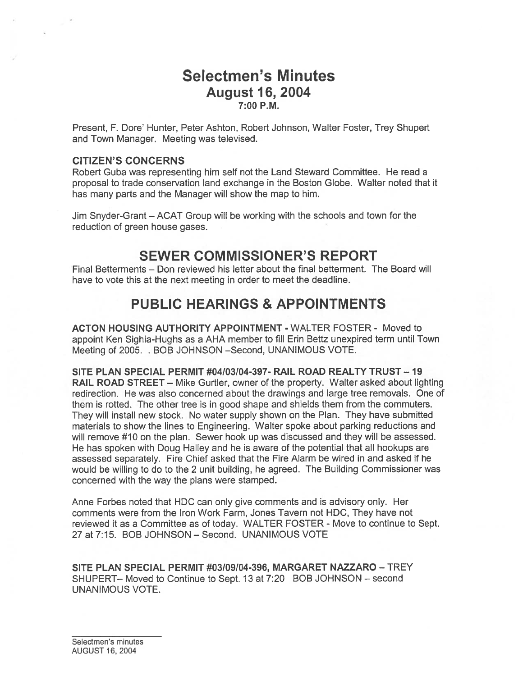# Selectmen's Minutes August 16, 2004 7:00 P.M.

Present, F. Dote' Hunter, Petet Ashton, Robert Johnson, Wafter Foster, Ttey Shupert and Town Manager. Meeting was televised.

#### CITIZEN'S CONCERNS

Robert Guba was representing him self not the Land Steward Committee. He read <sup>a</sup> proposal to trade conservation land exchange in the Boston Globe. Walter noted that it has many parts and the Manager will show the map to him.

Jim Snyder-Grant — ACAT Group will be working with the schools and town for the reduction of green house gases.

## SEWER COMMISSIONER'S REPORT

Final Betterments — Don reviewed his letter about the final betterment. The Board will have to vote this at the next meeting in order to meet the deadline.

# PUBLIC HEARINGS & APPOINTMENTS

ACTON HOUSING AUTHORITY APPOINTMENT - WALTER FOSTER - Moved to appoint Ken Sighia-Hughs as <sup>a</sup> AHA member to fill Erin Bettz unexpired term until Town Meeting of 2005. . BOB JOHNSON —Second, UNANIMOUS VOTE.

SITE PLAN SPECIAL PERMIT #04/03/04-397- RAIL ROAD REALTY TRUST— 19 RAIL ROAD STREET — Mike Gurtler, owner of the property. Walter asked about lighting redirection. He was also concerned about the drawings and large tree removals. One of them is rotted. The other tree is in good shape and shields them from the commuters. They will install new stock. No water supply shown on the Plan. They have submitted materials to show the lines to Engineering. Walter spoke about parking reductions and will remove #10 on the plan. Sewer hook up was discussed and they will be assessed. He has spoken with Doug Halley and he is aware of the potential that all hookups are assessed separately. Fire Chief asked that the Fire Alarm be wired in and asked if he would be willing to do to the 2 unit building, he agreed. The Building Commissioner was concerned with the way the plans were stamped.

Anne Forbes noted that HDC can only give comments and is advisory only. Her comments were from the Iron Work Farm, Jones Tavern not HDC, They have not reviewed it as <sup>a</sup> Committee as of today. WALTER FOSTER - Move to continue to Sept. 27 at 7:15. BOB JOHNSON — Second. UNANIMOUS VOTE

SITE PLAN SPECIAL PERMIT #03/09/04-396, MARGARET NAZZARO — TREY SHUPERT— Moved to Continue to Sept. 13 at 7:20 BOB JOHNSON — second UNANIMOUS VOTE.

Selectmen's minutes AUGUST 16, 2004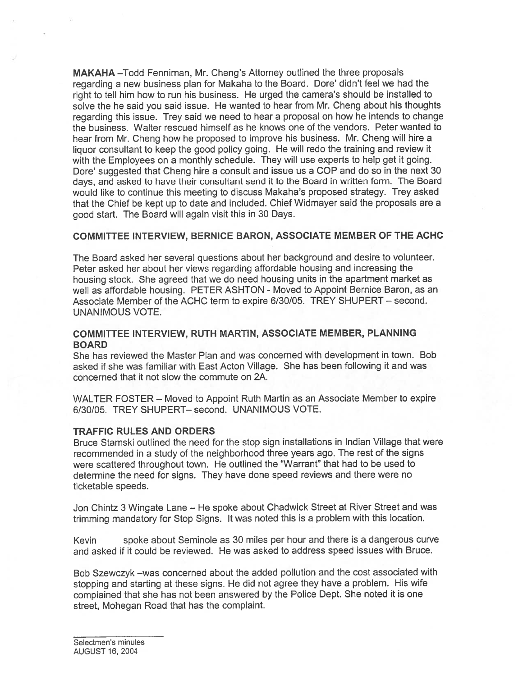MAKAHA —Todd Fenniman, Mr. Cheng's Attorney outlined the three proposals regarding <sup>a</sup> new business <sup>p</sup>lan for Makaha to the Board. Dore' didn't feel we had the right to tell him how to run his business. He urged the camera's should be installed to solve the he said you said issue. He wanted to hear from Mr. Cheng about his thoughts regarding this issue. Trey said we need to hear <sup>a</sup> proposa<sup>l</sup> on how he intends to change the business. Walter rescued himself as he knows one of the vendors. Peter wanted to hear from Mr. Cheng how he proposed to improve his business. Mr. Cheng will hire <sup>a</sup> liquor consultant to keep the goo<sup>d</sup> policy going. He will redo the training and review it with the Employees on a monthly schedule. They will use experts to help get it going. Dore' suggested that Cheng hire <sup>a</sup> consult and issue us <sup>a</sup> COP and do so in the next 30 days, and asked to have their consultant send it to the Board in written form. The Board would like to continue this meeting to discuss Makaha's proposed strategy. Trey asked that the Chief be kept up to date and included. Chief Widmayer said the proposals are <sup>a</sup> good start. The Board will again visit this in 30 Days.

#### COMMITTEE INTERVIEW, BERNICE BARON, ASSOCIATE MEMBER OF THE ACHC

The Board asked her several questions about her background and desire to volunteer. Peter asked her about her views regarding affordable housing and increasing the housing stock. She agreed that we do need housing units in the apartment market as well as affordable housing. PETER ASHTON - Moved to Appoint Bernice Baron, as an Associate Member of the ACHC term to expire 6/30/05. TREY SHUPERT — second. UNANIMOUS VOTE.

#### COMMITTEE INTERVIEW, RUTH MARTIN, ASSOCIATE MEMBER, PLANNING BOARD

She has reviewed the Master Plan and was concerned with development in town. Bob asked if she was familiar with East Acton Village. She has been following it and was concerned that it not slow the commute on 2A.

WALTER FOSTER — Moved to Appoint Ruth Martin as an Associate Member to expire 6/30/05. TREY SHUPERT— second. UNANIMOUS VOTE.

#### TRAFFIC RULES AND ORDERS

Bruce Stamski outlined the need for the stop sign installations in Indian Village that were recommended in <sup>a</sup> study of the neighborhood three years ago. The rest of the signs were scattered throughout town. He outlined the "Warrant" that had to be used to determine the need for signs. They have done speed reviews and there were no ticketable speeds.

Jon Chintz 3 Wingate Lane — He spoke about Chadwick Street at River Street and was trimming mandatory for Stop Signs. It was noted this is <sup>a</sup> problem with this location.

Kevin spoke about Seminole as 30 miles per hour and there is <sup>a</sup> dangerous curve and asked if it could be reviewed. He was asked to address speed issues with Bruce.

Bob Szewczyk —was concerned about the added pollution and the cost associated with stopping and starting at these signs. He did not agree they have <sup>a</sup> problem. His wife complained that she has not been answered by the Police Dept. She noted it is one street, Mohegan Road that has the complaint.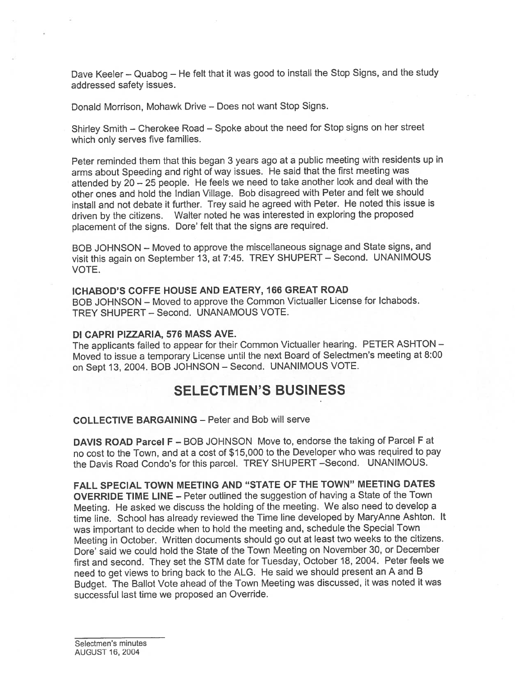Dave Keeler — Quabog — He felt that it was goo<sup>d</sup> to install the Stop Signs, and the study addressed safety issues.

Donald Morrison, Mohawk Drive — Does not want Stop Signs.

Shirley Smith — Cherokee Road — Spoke about the need for Stop signs on her street which only serves five families.

Peter reminded them that this began <sup>3</sup> years ago at <sup>a</sup> public meeting with residents up in arms about Speeding and right of way issues. He said that the first meeting was attended by <sup>20</sup> — <sup>25</sup> people. He feels we need to take another look and deal with the other ones and hold the Indian Village. Bob disagreed with Peter and felt we should install and not debate it further. Trey said he agree<sup>d</sup> with Peter. He noted this issue is driven by the citizens. Walter noted he was interested in exploring the propose<sup>d</sup> placement of the signs. Dore' felt that the signs are required.

BOB JOHNSON — Moved to approve the miscellaneous signage and State signs, and visit this again on September 13, at 7:45. TREY SHUPERT — Second. UNANIMOUS VOTE.

#### ICHABOD'S COFFE HOUSE AND EATERY, 166 GREAT ROAD

BOB JOHNSON — Moved to approve the Common Victualler License for Ichabods. TREY SHUPERI — Second. UNANAMOUS VOTE.

#### DI CAPRI PIZZARIA, 576 MASS AVE.

The applicants failed to appear for their Common Victualler hearing. PETER ASHTON — Moved to issue <sup>a</sup> temporary License until the next Board of Selectmen's meeting at 8:00 on Sept 13, 2004. BOB JOHNSON — Second. UNANIMOUS VOTE.

# SELECTMEN'S BUSINESS

#### COLLECTIVE BARGAINING — Peter and Bob will serve

DAVIS ROAD Parcel F — BOB JOHNSON Move to, endorse the taking of Parcel F at no cost to the Town, and at <sup>a</sup> cost of \$15,000 to the Developer who was required to pay the Davis Road Condo's for this parcel. TREY SHUPERT —Second. UNANIMOUS.

FALL SPECIAL TOWN MEETING AND "STATE OF THE TOWN" MEETING DATES OVERRIDE TIME LINE — Peter outlined the suggestion of having <sup>a</sup> State of the Town Meeting. He asked we discuss the holding of the meeting. We also need to develop <sup>a</sup> time line. School has already reviewed the Time line developed by MaryAnne Ashton. It was important to decide when to hold the meeting and, schedule the Special Town Meeting in October. Written documents should go out at least two weeks to the citizens. Dore' said we could hold the State of the Town Meeting on November 30, or December first and second. They set the STM date for Tuesday, October 18, 2004. Peter feels we need to ge<sup>t</sup> views to bring back to the ALG. He said we should presen<sup>t</sup> an <sup>A</sup> and <sup>B</sup> Budget. The Ballot Vote ahead of the Town Meeting was discussed, it was noted it was successful last time we proposed an Override.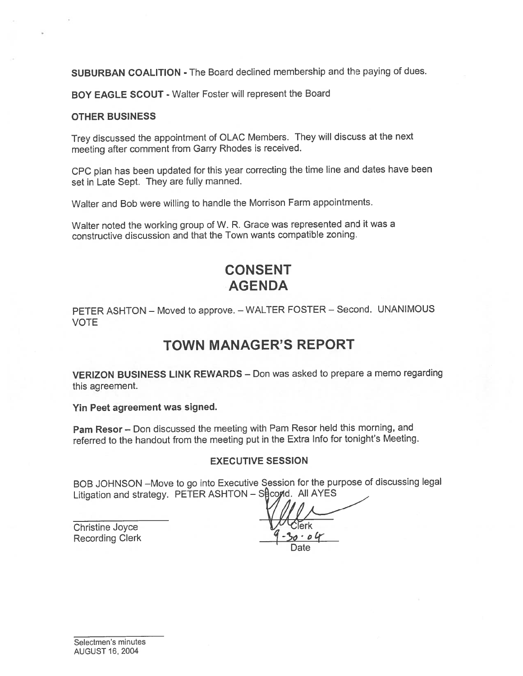SUBURBAN COALITION - The Board declined membership and the paying of dues.

BOY EAGLE SCOUT - Walter Foster will represen<sup>t</sup> the Board

#### OTHER BUSINESS

Trey discussed the appointment of OLAC Members. They will discuss at the next meeting after comment from Garry Rhodes is received.

CPC <sup>p</sup>lan has been updated for this year correcting the time line and dates have been set in Late Sept. They are fully manned.

Walter and Bob were willing to handle the Morrison Farm appointments.

Walter noted the working group of W. R. Grace was represented and it was <sup>a</sup> constructive discussion and that the Town wants compatible zoning.

# CONSENT AGENDA

PETER ASHTON — Moved to approve. — WALTER FOSTER — Second. UNANIMOUS VOTE

# TOWN MANAGER'S REPORT

VERIZON BUSINESS LINK REWARDS — Don was asked to prepare <sup>a</sup> memo regarding this agreement.

Yin Peet agreemen<sup>t</sup> was signed.

Pam Resor — Don discussed the meeting with Pam Resor held this morning, and referred to the handout from the meeting pu<sup>t</sup> in the Extra Info for tonight's Meeting.

#### EXECUTIVE SESSION

BOB JOHNSON —Move to go into Executive Session for the purpose of discussing legal Litigation and strategy. PETER ASHTON - Second. All AYES

Christine Joyce Recording Clerk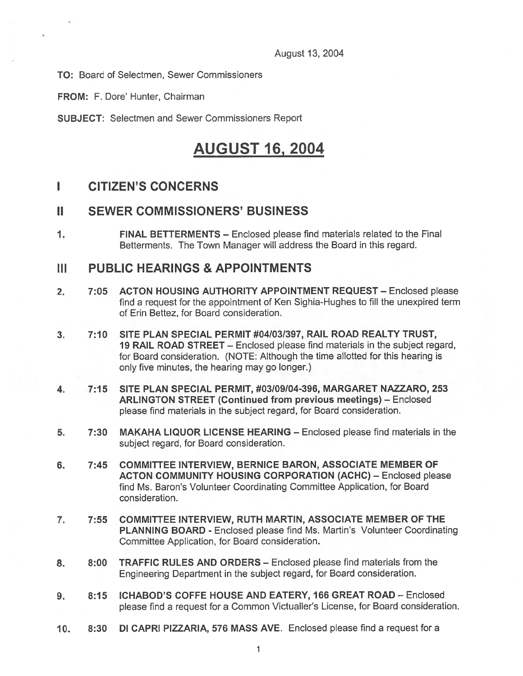August 13, 2004

TO: Board of Selectmen, Sewer Commissioners

FROM: F. Dore' Hunter, Chairman

SUBJECT: Selectmen and Sewer Commissioners Report

# AUGUST 16, 2004

## I CITIZEN'S CONCERNS

## II SEWER COMMISSIONERS' BUSINESS

1. FINAL BETTERMENTS — Enclosed please find materials related to the Final Betterments. The Town Manager will address the Board in this regard.

### III PUBLIC HEARINGS & APPOINTMENTS

- 2. 7:05 ACTON HOUSING AUTHORITY APPOINTMENT REQUEST Enclosed please find <sup>a</sup> reques<sup>t</sup> for the appointment of Ken Sighia-Hughes to fill the unexpired term of Erin Bettez, for Board consideration.
- 3. 7:10 SITE PLAN SPECIAL PERMIT #04/031397, RAIL ROAD REALTY TRUST, 19 RAIL ROAD STREET — Enclosed please find materials in the subject regard, for Board consideration. (NOTE: Although the time allotted for this hearing is only five minutes, the hearing may go longer.)
- 4. 7:15 SITE PLAN SPECIAL PERMIT, #03I09I04-396, MARGARET NAZZARO, 253 ARLINGTON STREET (Continued from previous meetings) — Enclosed please find materials in the subject regard, for Board consideration.
- 5. 7:30 MAKAHA LIQUOR LICENSE HEARING Enclosed please find materials in the subject regard, for Board consideration.
- 6. 7:45 COMMITTEE INTERVIEW, BERNICE BARON, ASSOCIATE MEMBER OF ACTON COMMUNITY HOUSING CORPORATION (ACHC) — Enclosed please find Ms. Baron's Volunteer Coordinating Committee Application, for Board consideration.
- 7. 7:55 COMMITTEE INTERVIEW, RUTH MARTIN, ASSOCIATE MEMBER OF THE PLANNING BOARD - Enclosed please find Ms. Martin's Volunteer Coordinating Committee Application, for Board consideration.
- 8. 8:00 TRAFFIC RULES AND ORDERS Enclosed please find materials from the Engineering Department in the subject regard, for Board consideration.
- 9. 8:15 ICHABOD'S COFFE HOUSE AND EATERY, 166 GREAT ROAD Enclosed <sup>p</sup>lease find <sup>a</sup> reques<sup>t</sup> for <sup>a</sup> Common Victualler's License, for Board consideration.
- 10. 8:30 DI CAPRI PIZZARIA, 576 MASS AVE. Enclosed please find <sup>a</sup> reques<sup>t</sup> for <sup>a</sup>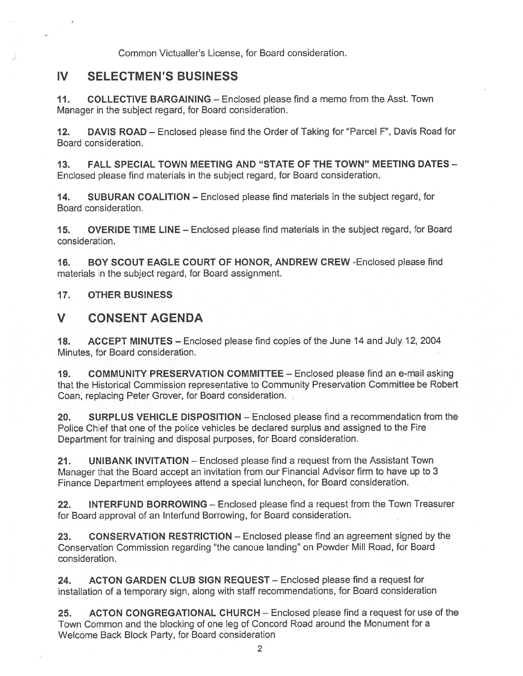Common Victualler's License, for Board consideration.

## IV SELECTMEN'S BUSINESS

11. COLLECTIVE BARGAINING - Enclosed please find a memo from the Asst. Town Manager in the subject regard, for Board consideration.

12. DAVIS ROAD — Enclosed please find the Order of Taking for "Parcel F", Davis Road for Board consideration.

13. FALL SPECIAL TOWN MEETING AND "STATE OF THE TOWN" MEETING DATES — Enclosed please find materials in the subject regard, for Board consideration.

14. SUBURAN COALITION — Enclosed please find materials in the subject regard, for Board consideration.

15. OVERIDE TIME LINE — Enclosed please find materials in the subject regard, for Board consideration.

16. BOY SCOUT EAGLE COURT OF HONOR, ANDREW CREW -Enclosed please find materials in the subject regard, for Board assignment.

17. OTHER BUSINESS

## V CONSENT AGENDA

18. ACCEPT MINUTES — Enclosed please find copies of the June 14 and July 12, 2004 Minutes, for Board consideration.

19. COMMUNITY PRESERVATION COMMITTEE — Enclosed please find an e-mail asking that the Historical Commission representative to Community Preservation Committee be Robert Coan, replacing Peter Grover, for Board consideration.

20. SURPLUS VEHICLE DISPOSITION — Enclosed please find <sup>a</sup> recommendation from the Police Chief that one of the police vehicles be declared surplus and assigned to the Fire Department for training and disposal purposes, for Board consideration.

21. UNIBANK INVITATION — Enclosed please find <sup>a</sup> reques<sup>t</sup> from the Assistant Town Manager that the Board accep<sup>t</sup> an invitation from our Financial Advisor firm to have up to <sup>3</sup> Finance Department employees attend <sup>a</sup> special luncheon, for Board consideration.

22. INTERFUND BORROWING – Enclosed please find a request from the Town Treasurer for Board approval of an Interfund Borrowing, for Board consideration.

23. CONSERVATION RESTRICTION – Enclosed please find an agreement signed by the Conservation Commission regarding "the canoue landing" on Powder Mill Road, for Board consideration.

24. ACTON GARDEN CLUB SIGN REQUEST — Enclosed please find <sup>a</sup> reques<sup>t</sup> for installation of <sup>a</sup> temporary sign, along with staff recommendations, for Board consideration

25. ACTON CONGREGATIONAL CHURCH — Enclosed please find <sup>a</sup> reques<sup>t</sup> for use of the Town Common and the blocking of one leg of Concord Road around the Monument for <sup>a</sup> Welcome Back Block Party, for Board consideration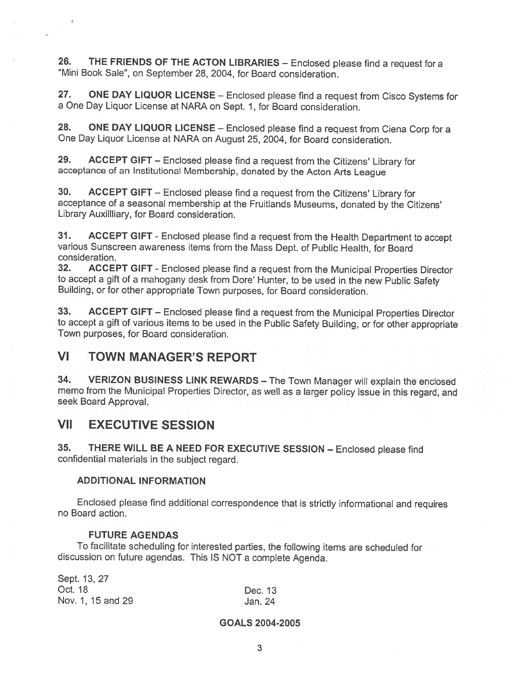26. THE FRIENDS OF THE ACTON LIBRARIES — Enclosed <sup>p</sup>lease find <sup>a</sup> request for <sup>a</sup> 'Mini Book Sale", on September 28, 2004, for Board consideration.

27. ONE DAY LIQUOR LICENSE - Enclosed please find a request from Cisco Systems for <sup>a</sup> One Day Liquor License at NARA on Sept. 1, for Board consideration.

28. ONE DAY LIQUOR LICENSE – Enclosed please find a request from Ciena Corp for a One Day Liquor License at NARA on August 25, 2004, for Board consideration.

29. ACCEPT GIFT — Enclosed <sup>p</sup>lease find <sup>a</sup> request from the Citizens' Library for acceptance of an Institutional Membership, donated by the Acton Arts League

30. ACCEPT GIFT — Enclosed <sup>p</sup>lease find <sup>a</sup> request from the Citizens' Library for acceptance of <sup>a</sup> seasonal membership at the Fruitlands Museums, donated by the Citizens' Library Auxillliary, for Board consideration.

31. ACCEPT GIFT - Enclosed please find a request from the Health Department to accept various Sunscreen awareness items from the Mass Dept. of Public Health, for Board consideration.

32. ACCEPT GIFT - Enclosed <sup>p</sup>lease find <sup>a</sup> request from the Municipal Properties Director to accept <sup>a</sup> <sup>g</sup>ift of <sup>a</sup> mahogany desk from Dore' Hunter, to be used in the new Public Safety Building, or for other appropriate Town purposes, for Board consideration.

33. ACCEPT GIFT — Enclosed <sup>p</sup>lease find <sup>a</sup> request from the Municipal Properties Director to accept <sup>a</sup> <sup>g</sup>ift of various items to be used in the Public Safety Building, or for other appropriate Town purposes, for Board consideration.

## VI TOWN MANAGER'S REPORT

34. VERIZON BUSINESS LINK REWARDS — The Town Manager will explain the enclosed memo from the Municipal Properties Director, as well as <sup>a</sup> larger policy issue in this regard, and seek Board Approval.

## VII EXECUTIVE SESSION

35. THERE WILL BE <sup>A</sup> NEED FOR EXECUTIVE SESSION — Enclosed <sup>p</sup>lease find confidential materials in the subject regard.

#### ADDITIONAL INFORMATION

Enclosed <sup>p</sup>lease find additional correspondence that is strictly informational and requires no Board action.

#### FUTURE AGENDAS

To facilitate scheduling for interested parties, the following items are scheduled for discussion on future agendas. This IS NOT <sup>a</sup> complete Agenda.

| Sept. 13, 27      |                    |
|-------------------|--------------------|
| Oct. 18           | Dec. 13<br>Jan. 24 |
| Nov. 1, 15 and 29 |                    |

#### GOALS 2004-2005